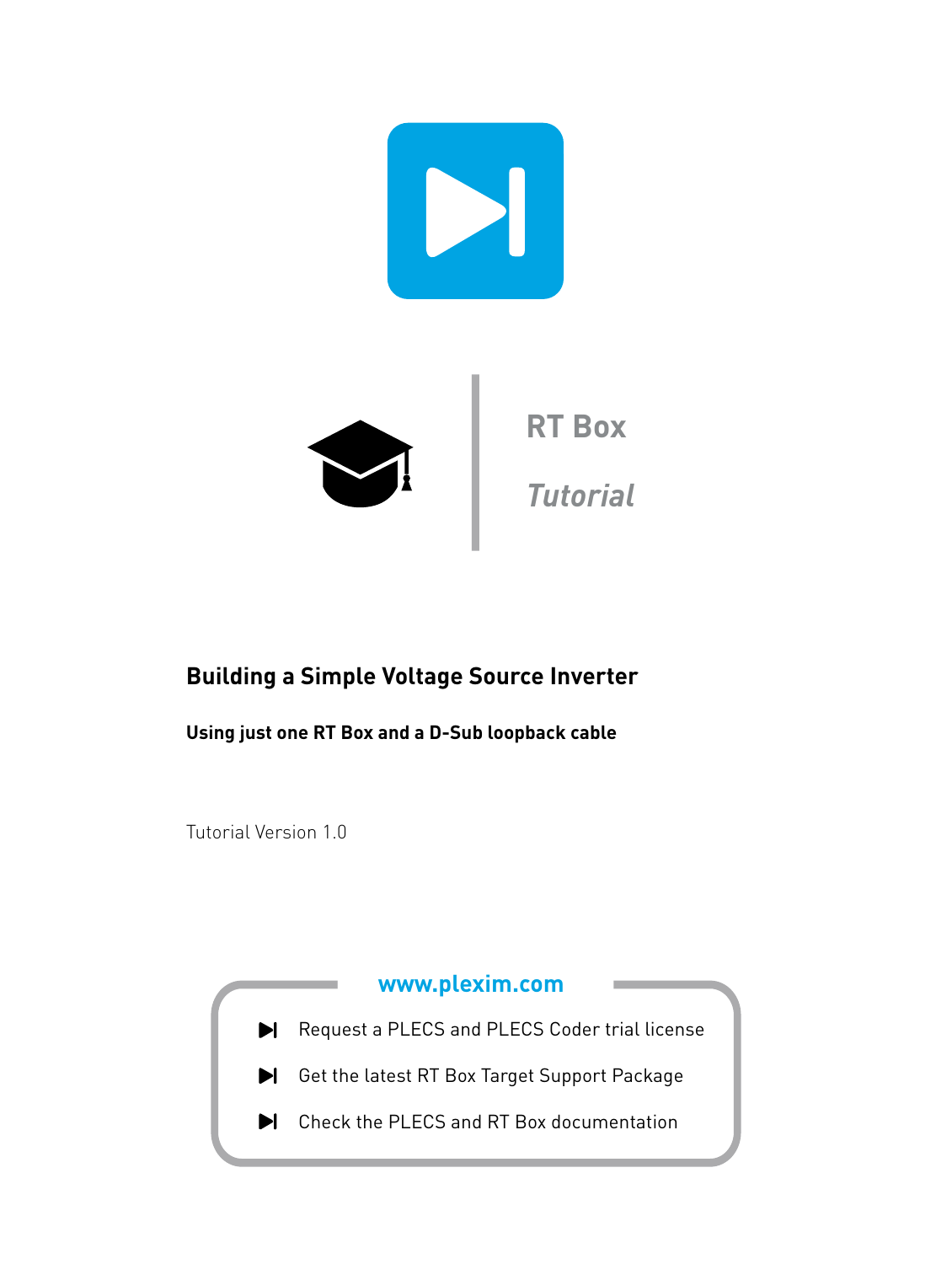

## **Building a Simple Voltage Source Inverter**

**Using just one RT Box and a D-Sub loopback cable**

Tutorial Version 1.0

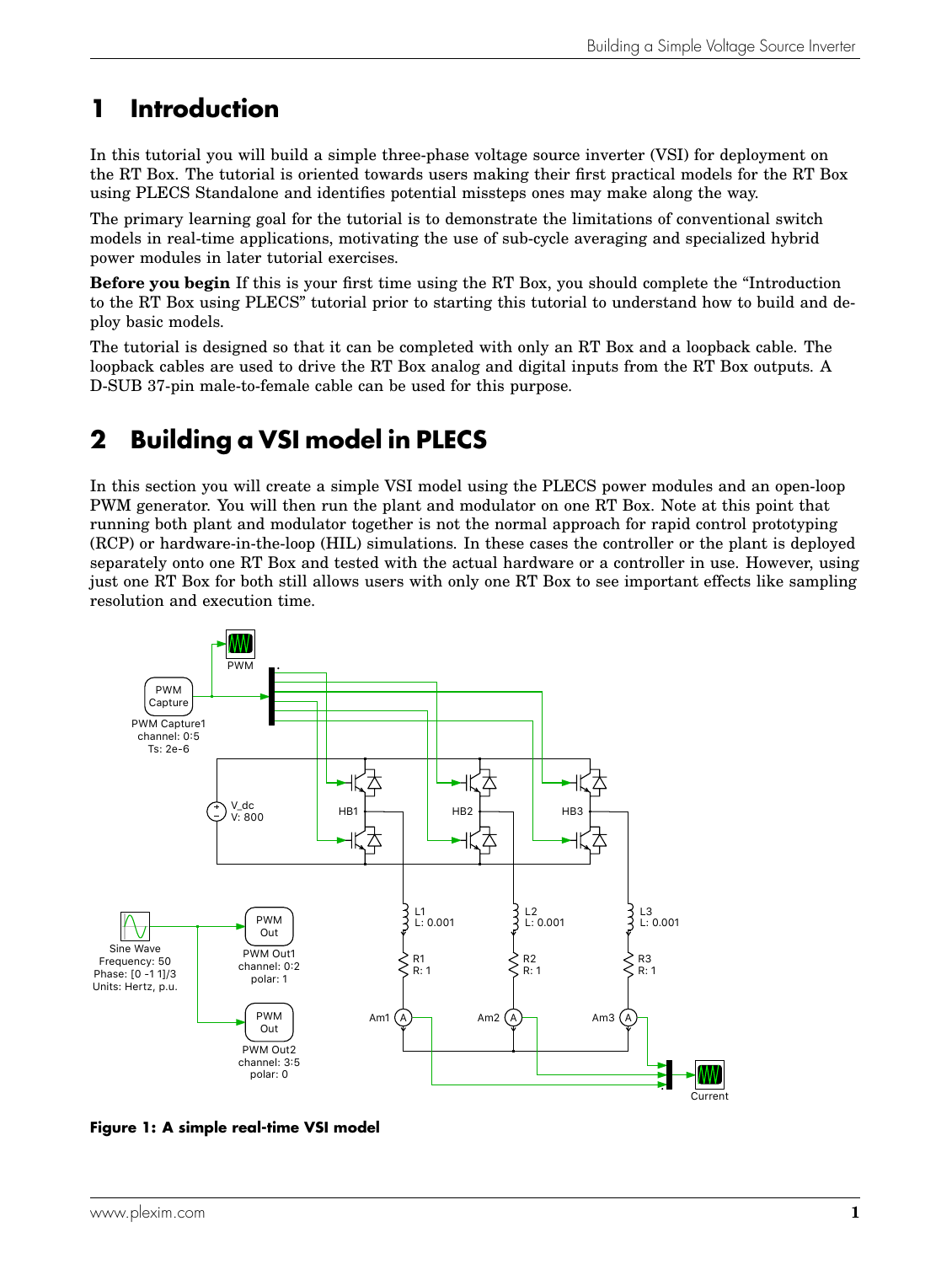# **1 Introduction**

In this tutorial you will build a simple three-phase voltage source inverter (VSI) for deployment on the RT Box. The tutorial is oriented towards users making their first practical models for the RT Box using PLECS Standalone and identifies potential missteps ones may make along the way.

The primary learning goal for the tutorial is to demonstrate the limitations of conventional switch models in real-time applications, motivating the use of sub-cycle averaging and specialized hybrid power modules in later tutorial exercises.

**Before you begin** If this is your first time using the RT Box, you should complete the "Introduction to the RT Box using PLECS" tutorial prior to starting this tutorial to understand how to build and deploy basic models.

The tutorial is designed so that it can be completed with only an RT Box and a loopback cable. The loopback cables are used to drive the RT Box analog and digital inputs from the RT Box outputs. A D-SUB 37-pin male-to-female cable can be used for this purpose.

# **2 Building a VSI model in PLECS**

In this section you will create a simple VSI model using the PLECS power modules and an open-loop PWM generator. You will then run the plant and modulator on one RT Box. Note at this point that running both plant and modulator together is not the normal approach for rapid control prototyping (RCP) or hardware-in-the-loop (HIL) simulations. In these cases the controller or the plant is deployed separately onto one RT Box and tested with the actual hardware or a controller in use. However, using just one RT Box for both still allows users with only one RT Box to see important effects like sampling resolution and execution time.

<span id="page-1-0"></span>

**Figure 1: A simple real-time VSI model**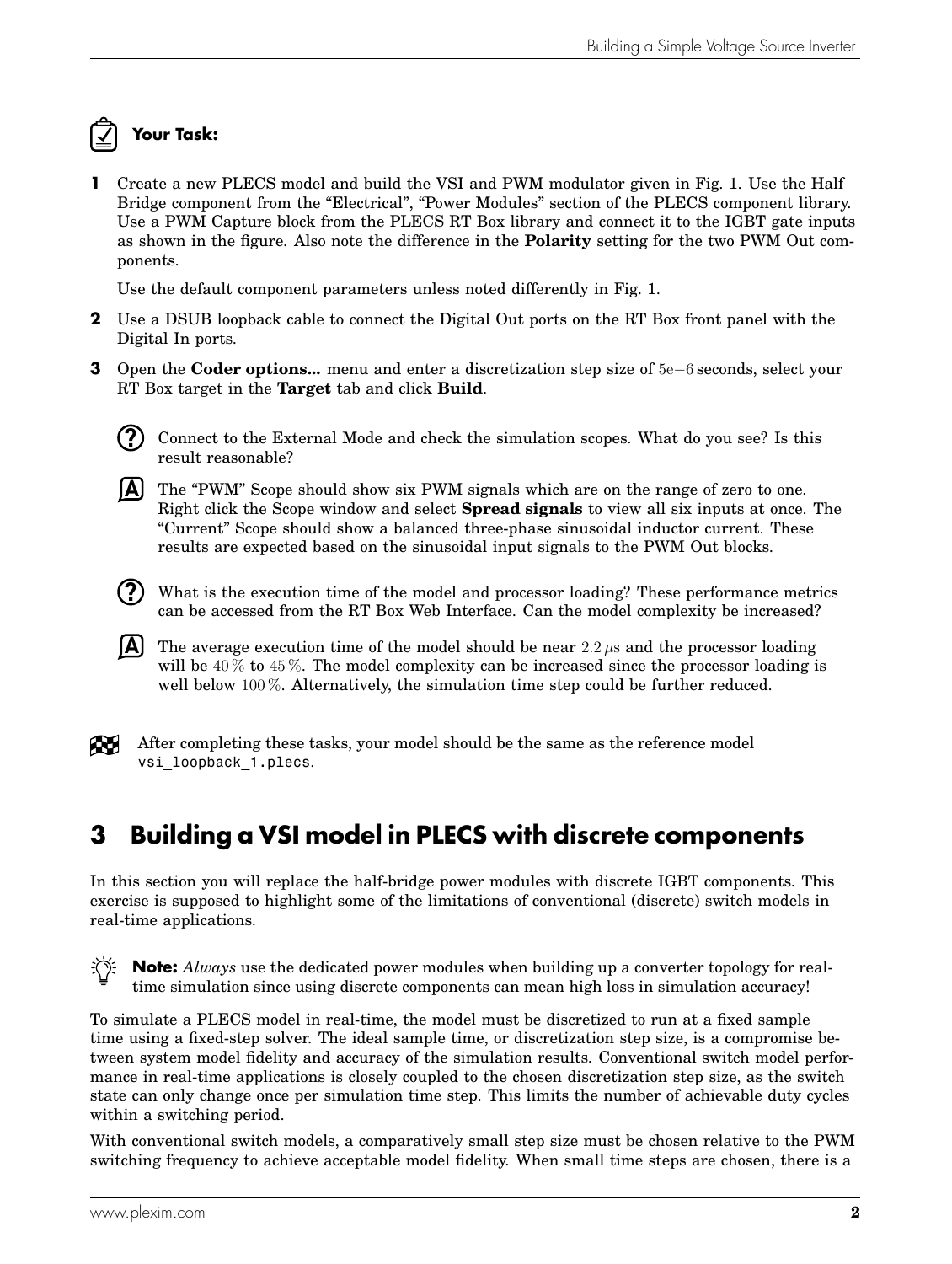## **Your Task:**

**1** Create a new PLECS model and build the VSI and PWM modulator given in Fig. [1.](#page-1-0) Use the Half Bridge component from the "Electrical", "Power Modules" section of the PLECS component library. Use a PWM Capture block from the PLECS RT Box library and connect it to the IGBT gate inputs as shown in the figure. Also note the difference in the **Polarity** setting for the two PWM Out components.

Use the default component parameters unless noted differently in Fig. [1.](#page-1-0)

- **2** Use a DSUB loopback cable to connect the Digital Out ports on the RT Box front panel with the Digital In ports.
- **3** Open the **Coder options...** menu and enter a discretization step size of 5e−6 seconds, select your RT Box target in the **Target** tab and click **Build**.
	- **?** Connect to the External Mode and check the simulation scopes. What do you see? Is this result reasonable?
	- **A** The "PWM" Scope should show six PWM signals which are on the range of zero to one. Right click the Scope window and select **Spread signals** to view all six inputs at once. The "Current" Scope should show a balanced three-phase sinusoidal inductor current. These results are expected based on the sinusoidal input signals to the PWM Out blocks.
	- **?** What is the execution time of the model and processor loading? These performance metrics can be accessed from the RT Box Web Interface. Can the model complexity be increased?
	- $\overline{A}$  The average execution time of the model should be near 2.2  $\mu$ s and the processor loading will be  $40\%$  to  $45\%$ . The model complexity can be increased since the processor loading is well below 100 %. Alternatively, the simulation time step could be further reduced.



After completing these tasks, your model should be the same as the reference model vsi loopback 1.plecs.

## **3 Building a VSI model in PLECS with discrete components**

In this section you will replace the half-bridge power modules with discrete IGBT components. This exercise is supposed to highlight some of the limitations of conventional (discrete) switch models in real-time applications.



**Note:** *Always* use the dedicated power modules when building up a converter topology for realtime simulation since using discrete components can mean high loss in simulation accuracy!

To simulate a PLECS model in real-time, the model must be discretized to run at a fixed sample time using a fixed-step solver. The ideal sample time, or discretization step size, is a compromise between system model fidelity and accuracy of the simulation results. Conventional switch model performance in real-time applications is closely coupled to the chosen discretization step size, as the switch state can only change once per simulation time step. This limits the number of achievable duty cycles within a switching period.

With conventional switch models, a comparatively small step size must be chosen relative to the PWM switching frequency to achieve acceptable model fidelity. When small time steps are chosen, there is a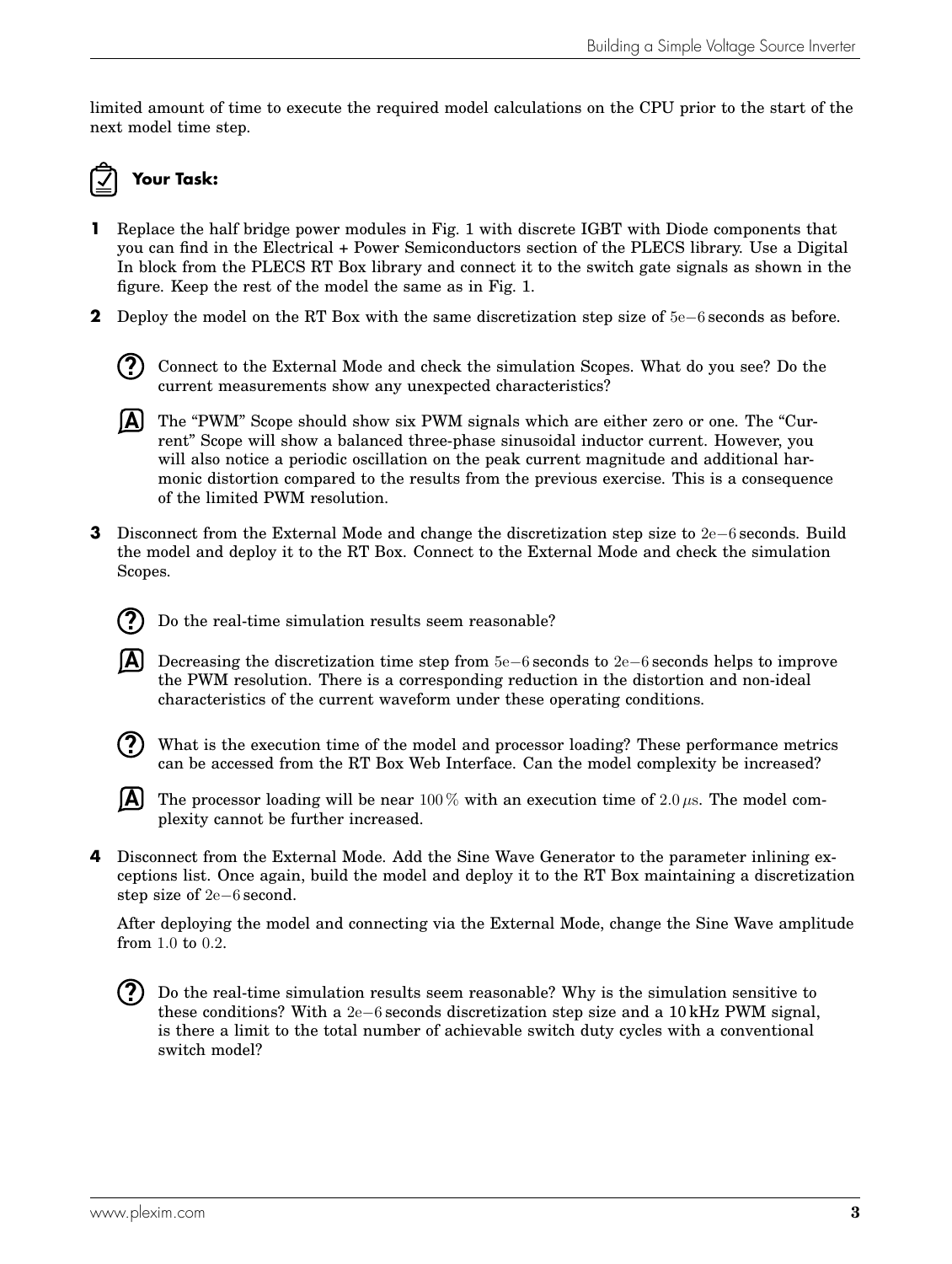limited amount of time to execute the required model calculations on the CPU prior to the start of the next model time step.

# **Your Task:**

- **1** Replace the half bridge power modules in Fig. [1](#page-1-0) with discrete IGBT with Diode components that you can find in the Electrical + Power Semiconductors section of the PLECS library. Use a Digital In block from the PLECS RT Box library and connect it to the switch gate signals as shown in the figure. Keep the rest of the model the same as in Fig. [1.](#page-1-0)
- **2** Deploy the model on the RT Box with the same discretization step size of 5e−6 seconds as before.



**A** The "PWM" Scope should show six PWM signals which are either zero or one. The "Current" Scope will show a balanced three-phase sinusoidal inductor current. However, you will also notice a periodic oscillation on the peak current magnitude and additional harmonic distortion compared to the results from the previous exercise. This is a consequence of the limited PWM resolution.

**3** Disconnect from the External Mode and change the discretization step size to 2e−6 seconds. Build the model and deploy it to the RT Box. Connect to the External Mode and check the simulation Scopes.



Do the real-time simulation results seem reasonable?

- **A** Decreasing the discretization time step from 5e−6 seconds to 2e−6 seconds helps to improve the PWM resolution. There is a corresponding reduction in the distortion and non-ideal characteristics of the current waveform under these operating conditions.
- **?**

What is the execution time of the model and processor loading? These performance metrics can be accessed from the RT Box Web Interface. Can the model complexity be increased?



The processor loading will be near 100 % with an execution time of 2.0  $\mu$ s. The model complexity cannot be further increased.

**4** Disconnect from the External Mode. Add the Sine Wave Generator to the parameter inlining exceptions list. Once again, build the model and deploy it to the RT Box maintaining a discretization step size of 2e−6 second.

After deploying the model and connecting via the External Mode, change the Sine Wave amplitude from 1.0 to 0.2.

**?** Do the real-time simulation results seem reasonable? Why is the simulation sensitive to these conditions? With a 2e−6 seconds discretization step size and a 10 kHz PWM signal, is there a limit to the total number of achievable switch duty cycles with a conventional switch model?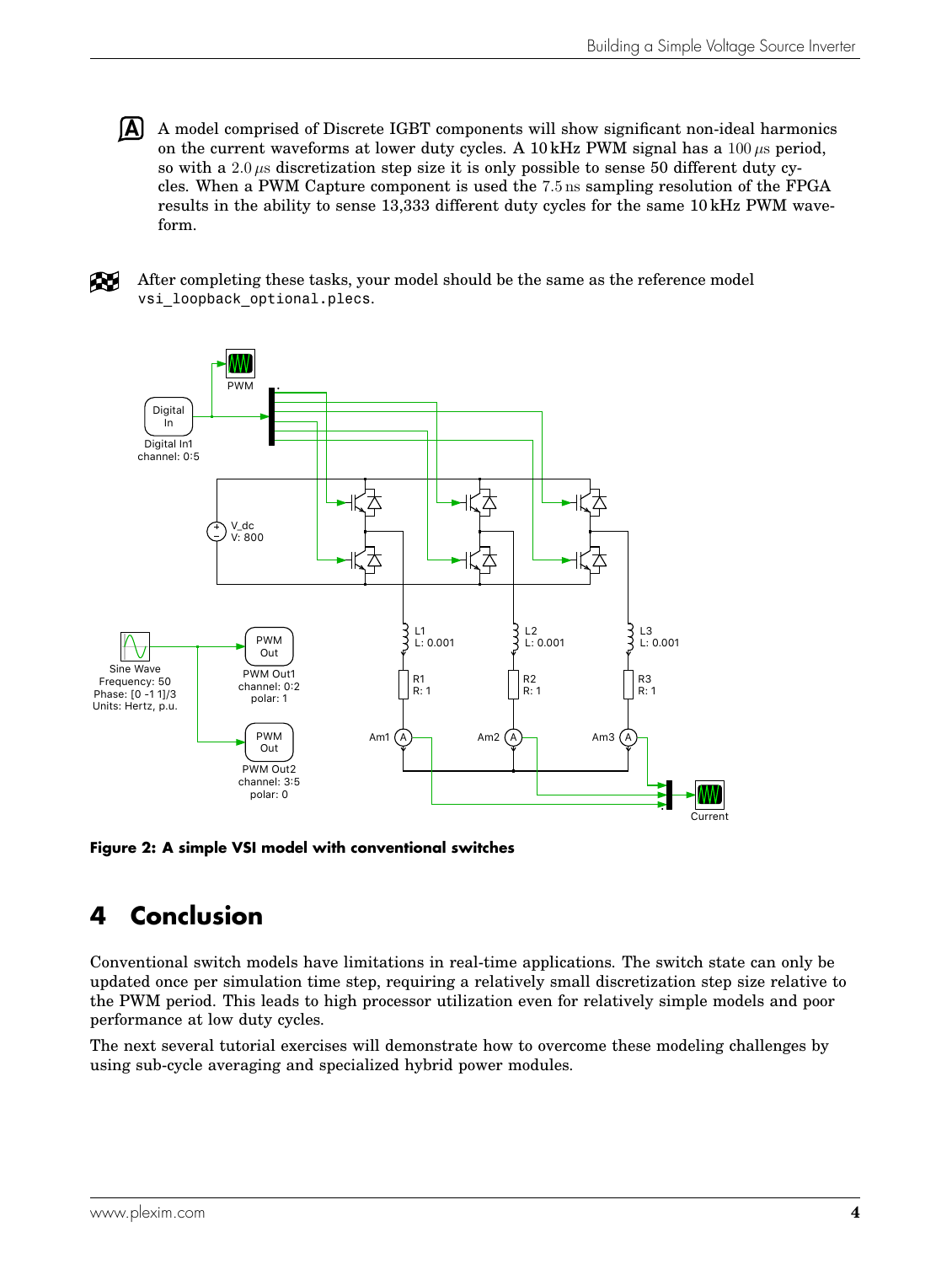**A** A model comprised of Discrete IGBT components will show significant non-ideal harmonics on the current waveforms at lower duty cycles. A 10 kHz PWM signal has a  $100 \mu s$  period, so with a 2.0  $\mu$ s discretization step size it is only possible to sense 50 different duty cycles. When a PWM Capture component is used the 7.5 ns sampling resolution of the FPGA results in the ability to sense 13,333 different duty cycles for the same 10 kHz PWM waveform.

A.

After completing these tasks, your model should be the same as the reference model vsi loopback optional.plecs.



**Figure 2: A simple VSI model with conventional switches**

# **4 Conclusion**

Conventional switch models have limitations in real-time applications. The switch state can only be updated once per simulation time step, requiring a relatively small discretization step size relative to the PWM period. This leads to high processor utilization even for relatively simple models and poor performance at low duty cycles.

The next several tutorial exercises will demonstrate how to overcome these modeling challenges by using sub-cycle averaging and specialized hybrid power modules.